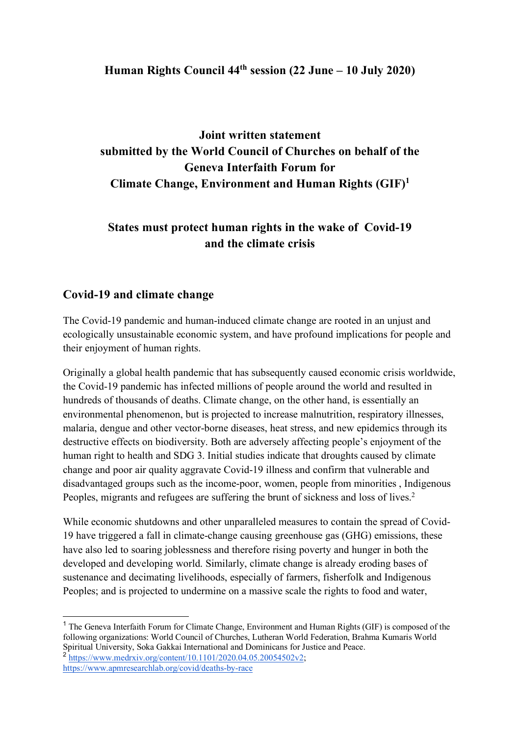#### **Human Rights Council 44th session (22 June – 10 July 2020)**

# **Joint written statement submitted by the World Council of Churches on behalf of the Geneva Interfaith Forum for Climate Change, Environment and Human Rights (GIF)1**

### **States must protect human rights in the wake of Covid-19 and the climate crisis**

#### **Covid-19 and climate change**

The Covid-19 pandemic and human-induced climate change are rooted in an unjust and ecologically unsustainable economic system, and have profound implications for people and their enjoyment of human rights.

Originally a global health pandemic that has subsequently caused economic crisis worldwide, the Covid-19 pandemic has infected millions of people around the world and resulted in hundreds of thousands of deaths. Climate change, on the other hand, is essentially an environmental phenomenon, but is projected to increase malnutrition, respiratory illnesses, malaria, dengue and other vector-borne diseases, heat stress, and new epidemics through its destructive effects on biodiversity. Both are adversely affecting people's enjoyment of the human right to health and SDG 3. Initial studies indicate that droughts caused by climate change and poor air quality aggravate Covid-19 illness and confirm that vulnerable and disadvantaged groups such as the income-poor, women, people from minorities , Indigenous Peoples, migrants and refugees are suffering the brunt of sickness and loss of lives.<sup>2</sup>

While economic shutdowns and other unparalleled measures to contain the spread of Covid-19 have triggered a fall in climate-change causing greenhouse gas (GHG) emissions, these have also led to soaring joblessness and therefore rising poverty and hunger in both the developed and developing world. Similarly, climate change is already eroding bases of sustenance and decimating livelihoods, especially of farmers, fisherfolk and Indigenous Peoples; and is projected to undermine on a massive scale the rights to food and water,

<sup>&</sup>lt;sup>1</sup> The Geneva Interfaith Forum for Climate Change, Environment and Human Rights (GIF) is composed of the following organizations: World Council of Churches, Lutheran World Federation, Brahma Kumaris World Spiritual University, Soka Gakkai International and Dominicans for Justice and Peace.  $^{2}$  https://www.medrxiv.org/content/10.1101/2020.04.05.20054502v2:

https://www.apmresearchlab.org/covid/deaths-by-race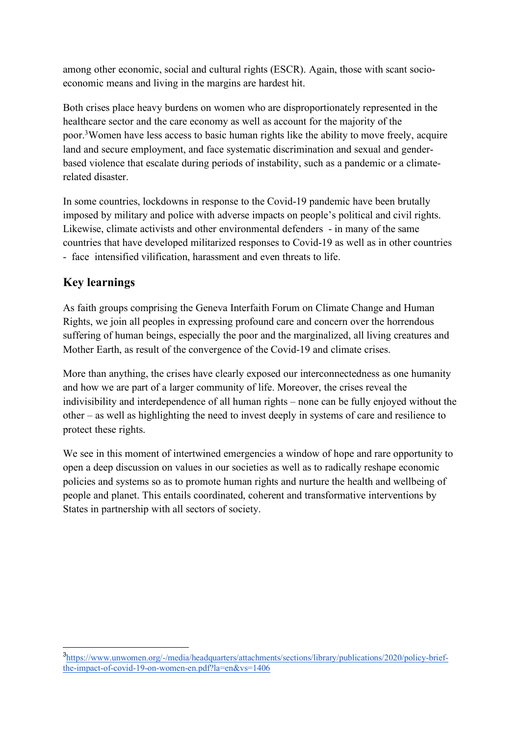among other economic, social and cultural rights (ESCR). Again, those with scant socioeconomic means and living in the margins are hardest hit.

Both crises place heavy burdens on women who are disproportionately represented in the healthcare sector and the care economy as well as account for the majority of the poor.<sup>3</sup> Women have less access to basic human rights like the ability to move freely, acquire land and secure employment, and face systematic discrimination and sexual and genderbased violence that escalate during periods of instability, such as a pandemic or a climaterelated disaster.

In some countries, lockdowns in response to the Covid-19 pandemic have been brutally imposed by military and police with adverse impacts on people's political and civil rights. Likewise, climate activists and other environmental defenders - in many of the same countries that have developed militarized responses to Covid-19 as well as in other countries - face intensified vilification, harassment and even threats to life.

### **Key learnings**

As faith groups comprising the Geneva Interfaith Forum on Climate Change and Human Rights, we join all peoples in expressing profound care and concern over the horrendous suffering of human beings, especially the poor and the marginalized, all living creatures and Mother Earth, as result of the convergence of the Covid-19 and climate crises.

More than anything, the crises have clearly exposed our interconnectedness as one humanity and how we are part of a larger community of life. Moreover, the crises reveal the indivisibility and interdependence of all human rights – none can be fully enjoyed without the other – as well as highlighting the need to invest deeply in systems of care and resilience to protect these rights.

We see in this moment of intertwined emergencies a window of hope and rare opportunity to open a deep discussion on values in our societies as well as to radically reshape economic policies and systems so as to promote human rights and nurture the health and wellbeing of people and planet. This entails coordinated, coherent and transformative interventions by States in partnership with all sectors of society.

 <sup>3</sup> https://www.unwomen.org/-/media/headquarters/attachments/sections/library/publications/2020/policy-briefthe-impact-of-covid-19-on-women-en.pdf?la=en&vs=1406